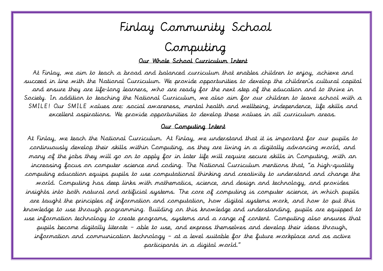

# Computing

#### Our Whole School Curriculum Intent

 At Finlay, we aim to teach a broad and balanced curriculum that enables children to enjoy, achieve and succeed in line with the National Curriculum. We provide opportunities to develop the children's cultural capital and ensure they are life-long learners, who are ready for the next step of the education and to thrive in Society. In addition to teaching the National Curriculum, we also aim for our children to leave school with a  $\ddot{\phantom{0}}$ SMILE! Our SMILE values are: social awareness, mental health and wellbeing, independence, life skills and excellent aspirations. We provide opportunities to develop these values in all curriculum areas.

#### Our Computing Intent

 At Finlay, we teach the National Curriculum. At Finlay, we understand that it is important for our pupils to continuously develop their skills within Computing, as they are living in a digitally advancing world, and many of the jobs they will go on to apply for in later life will require secure skills in Computing, with an increasing focus on computer science and coding. The National Curriculum mentions that, "a high-quality computing education equips pupils to use computational thinking and creativity to understand and change the world. Computing has deep links with mathematics, science, and design and technology, and provides insights into both natural and artificial systems. The core of computing is computer science, in which pupils are taught the principles of information and computation, how digital systems work, and how to put this knowledge to use through programming. Building on this knowledge and understanding, pupils are equipped to use information technology to create programs, systems and a range of content. Computing also ensures that pupils become digitally literate – able to use, and express themselves and develop their ideas through, information and communication technology – at a level suitable for the future workplace and as active participants in a digital world."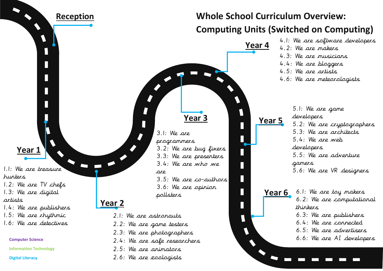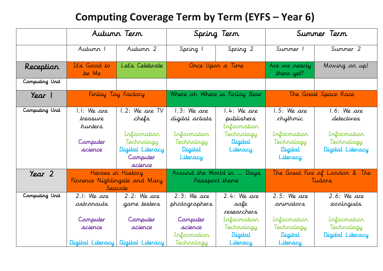### **Computing Coverage Term by Term (EYFS – Year 6)**

|                |                                                             | Autunn Tern                                                              |                                                                          | Spring Term                                                                   |                                                                          | Summer Term                                                                  |
|----------------|-------------------------------------------------------------|--------------------------------------------------------------------------|--------------------------------------------------------------------------|-------------------------------------------------------------------------------|--------------------------------------------------------------------------|------------------------------------------------------------------------------|
|                | Autumn 1                                                    | Autumn 2                                                                 | Spring 1                                                                 | Spring 2                                                                      | Summer 1                                                                 | Summer 2                                                                     |
| Reception      | It's Good to<br>be Me                                       | Let's Celebrate                                                          | Once Upon a Time                                                         |                                                                               | Are we nearly<br>there yet?                                              | Moving on up!                                                                |
| Computing Unit |                                                             |                                                                          |                                                                          |                                                                               |                                                                          |                                                                              |
| Year 1         |                                                             | Finlay Toy Factory                                                       |                                                                          | Where oh Where is Finlay Bear                                                 |                                                                          | The Great Space Race                                                         |
| Computing Unit | $1.1:$ We are<br>treasure<br>hunters<br>Computer<br>science | 1.2: We are TV<br>chefs<br>Information<br>Technology<br>Digital Literacy | $1.3:$ We are<br>digital artists<br>Information<br>Technology<br>Digital | 1.4: We are<br>publishers<br>Information<br>Technology<br>Digital<br>Literacy | $1.5:$ We are<br><i>rhythmic</i><br>Information<br>Technology<br>Digital | $1.6:$ We are<br>detectives<br>Information<br>Technology<br>Digital Literacy |
|                |                                                             | Computer<br>science                                                      | Literacy                                                                 |                                                                               | Literacy                                                                 |                                                                              |
| Year 2         |                                                             | Heroes in History<br>Florence Nightingale and Mary<br>Seacole            | Around the World in  Days<br>Passport theme                              |                                                                               | The Great Fire of London & The<br>Tudars                                 |                                                                              |
| Computing Unit | $2.1:$ We are<br>astronauts                                 | $2.2:$ We are<br>game testers                                            | $2.3:$ We are<br>photographers                                           | $2.4:$ We are<br>safe<br>researchers                                          | $2.5:$ We are<br>animators                                               | $2.6:$ We are<br>zoologists                                                  |
|                | Computer<br>science                                         | Computer<br>science<br>Digital Literacy Digital Literacy                 | Computer<br>science<br>Irformation<br>Technology                         | Information<br>Technology<br>Digital<br>Literacy                              | Information<br>Technology<br>Digital<br>Literacy                         | Information<br>Technology<br>Digital Literacy                                |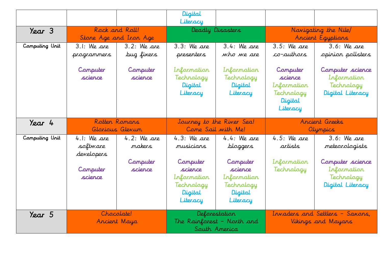|                |                                                                |                                                | Digital<br>Literacy                                                                                   |                                                                                                      |                                                                         |                                                                                                                  |
|----------------|----------------------------------------------------------------|------------------------------------------------|-------------------------------------------------------------------------------------------------------|------------------------------------------------------------------------------------------------------|-------------------------------------------------------------------------|------------------------------------------------------------------------------------------------------------------|
| Year 3         | Rock and Roll!<br>Stone Age and Iron Age                       |                                                | Deadly Disasters                                                                                      |                                                                                                      |                                                                         | Navigating the Nile/<br>Ancient Egyptians                                                                        |
| Computing Unit | $3.1:$ We are<br>programmers                                   | $3.2:$ We are<br>bug fixers                    | $3.3:$ We are<br>presenters                                                                           | $3.4:$ We are<br>who we are                                                                          | $3.5:$ We are<br>co-authors                                             | $3.6:$ We are<br>opinion pollsters                                                                               |
|                | Computer<br>science                                            | Computer<br>science                            | Information<br>Technology<br>Digital<br>Literacy                                                      | Information<br>Technology<br>Digital<br>Literacy                                                     | Computer<br>science<br>Information<br>Technology<br>Digital<br>Literacy | Computer science<br>Information<br>Technology<br>Digital Literacy                                                |
| Year 4         | Rotten Romans                                                  |                                                |                                                                                                       |                                                                                                      |                                                                         |                                                                                                                  |
|                |                                                                | Glorious Glevum                                |                                                                                                       | Journey to the River Sea!<br>Come Sail with Me!                                                      |                                                                         | Ancient Greeks                                                                                                   |
| Computing Unit | $4.1:$ We are<br>software<br>developers<br>Computer<br>science | $4.2:$ We are<br>makers<br>Computer<br>science | $4.3:$ We are<br>musicians<br>Computer<br>science<br>Information<br>Technology<br>Digital<br>Literacy | $4.4:$ We are<br>bloggers<br>Computer<br>science<br>Information<br>Technology<br>Digital<br>Literacy | $4.5:$ We are<br>artists<br>Information<br>Technology                   | Olympics<br>$3.6:$ We are<br>meteorologists<br>Computer science<br>Information<br>Technology<br>Digital Literacy |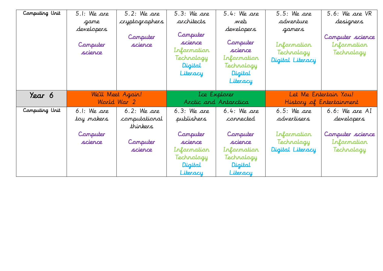| Computing Unit | 5.1: We are                       | 5.2: We are         | 5.3: We are                                                             | $5.4:$ We are                                                                         | $5.5:$ We are                                           | 5.6: We are VR                                |
|----------------|-----------------------------------|---------------------|-------------------------------------------------------------------------|---------------------------------------------------------------------------------------|---------------------------------------------------------|-----------------------------------------------|
|                | game                              | cryptographers      | architects                                                              | web                                                                                   | adventure                                               | <i>designers</i>                              |
|                | developers<br>Computer<br>science | Computer<br>science | Computer<br>science<br>Irformation<br>Technology<br>Digital<br>Literacy | developers<br>Computer<br>science<br>Information<br>Technology<br>Digital<br>Literacy | gamers<br>Information<br>Technology<br>Digital Literacy | Computer science<br>Information<br>Technology |
|                | We'll Meet Again!                 |                     |                                                                         |                                                                                       |                                                         |                                               |
|                |                                   |                     |                                                                         | Lce Explorer                                                                          |                                                         | Let Me Entertain You!                         |
| Year 6         |                                   | World War 2         |                                                                         | Arctic and Antarctica                                                                 |                                                         | History of Entertainment                      |
| Computing Unit | $6.1:$ We are                     | $6.2:$ We are       | $6.3:$ We are                                                           | $6.4:$ We are                                                                         | $6.5:$ We are                                           | $6.6:$ We are AI                              |
|                | toy makers                        | computational       | publishers                                                              | connected                                                                             | advertisers                                             | developers                                    |
|                |                                   | thinkers            |                                                                         |                                                                                       |                                                         |                                               |
|                | Computer                          |                     | Computer                                                                | Computer                                                                              | Irformation                                             | Computer science                              |
|                | science                           | Computer            | science                                                                 | science                                                                               | Technology                                              | Information                                   |
|                |                                   | science             | Irformation                                                             | Information                                                                           | Digital Literacy                                        | Technology                                    |
|                |                                   |                     | Technology                                                              | Technology                                                                            |                                                         |                                               |
|                |                                   |                     | Digital                                                                 | Digital                                                                               |                                                         |                                               |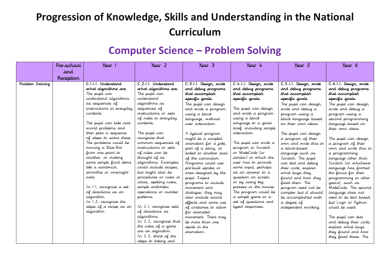# **Progression of Knowledge, Skills and Understanding in the National Curriculum**

#### **Computer Science – Problem Solving**

|                 | Pre-school | Year                                    | Year 2                                      | $\gamma_{\text{ear}}$ 3                    | Year 4                                | Year 5                                    | Year 6                                       |
|-----------------|------------|-----------------------------------------|---------------------------------------------|--------------------------------------------|---------------------------------------|-------------------------------------------|----------------------------------------------|
|                 | and        |                                         |                                             |                                            |                                       |                                           |                                              |
|                 | Reception  |                                         |                                             |                                            |                                       |                                           |                                              |
| Problem Solving |            | C.I.I.I. Understand                     | C.2.1.1. Understand                         | C.3.1.1. Design, write                     | C.4.1.1. Design, write                | C.5.1.1. Design, write                    | C.6.I.I. Design, write                       |
|                 |            | what algorithms are.                    | what algorithms are.                        | and debug programs                         | and debug programs                    | and debug programs                        | and debug programs                           |
|                 |            | The pupil can                           | The pupil can                               | that accomplish                            | that accomplish                       | that accomplish                           | that accomplish                              |
|                 |            | understand algorithms                   | understand                                  | specific goals.                            | specific goals.                       | specific goals                            | specific goals.                              |
|                 |            | as sequences of                         | algorithms as                               | The pupil can design                       |                                       | The pupil can design,                     | The pupil can design,                        |
|                 |            | instructions in everyday                | sequences of                                | and write a program                        | The pupil can design                  | write and debug a                         | write and debug a                            |
|                 |            | contexts.                               | instructions or sets                        | using a block                              | and write a program                   | program using a                           | program using a                              |
|                 |            |                                         | of rules in everyday                        | language, without                          | using a block                         | block language based                      | second programming                           |
|                 |            | The pupil can take real-                | contexts.                                   | user interaction.                          | language to a given                   | on their own ideas.                       | language based on                            |
|                 |            | world problems and                      |                                             |                                            | brief, including simple               |                                           | their own ideas.                             |
|                 |            | then plan a sequence                    | The pupil can                               | A typical program                          | interaction.                          | The pupil can design                      |                                              |
|                 |            | of steps to solve these.                | recognise that                              | might be a scripted                        |                                       | a program of their                        | The pupil can design                         |
|                 |            | The problems could be                   | common sequences of<br>instructions or sets | animation for a joke,                      | The pupil can write a                 | own and write this in                     | a program of their                           |
|                 |            | moving a Blue-Bot                       | of rules can be                             | part of a story, or                        | program in Scratch<br>or MakeCode (or | a block-based                             | own and write this in                        |
|                 |            | from one point to<br>another, or making | thought of as                               | linked to another area                     | similar) in which the                 | language such as                          | a programming                                |
|                 |            | some simple food items                  | algorithms. Examples                        | of the curriculum.                         | user has to provide                   | Scratch. The pupil                        | language other than<br>Scratch (or whichever |
|                 |            | like a sandwich.                        | could include recipes,                      | Programs could use<br>pre-built sprites or | some input, perhaps                   | can test and debug<br>their code, explain |                                              |
|                 |            | smoothie or overnight                   | but might also be                           | ones designed by the                       | as an answer to a                     | what bugs they                            | language has formed<br>the focus for their   |
|                 |            | oats.                                   | procedures or rules in                      | pupil. Expect                              | question on screen,                   | found and how they                        | programming in other                         |
|                 |            |                                         | class, spelling rules,                      | programs to include                        | or by using key                       | fixed them. The                           | years), such as                              |
|                 |            | In I.I, recognise a set                 | simple arithmetic                           | movement and                               | presses or the mouse.                 | program need not be                       | MakeCode. The second                         |
|                 |            | of directions as an                     | operations or number                        | dialogue; they may                         | The program could be                  | complex but it should                     | language does not                            |
|                 |            | algorithm.                              | patterns.                                   | also include sound                         | a simple game or a                    | be accomplished with                      | need to be text based,                       |
|                 |            | In 1.2, recognise the                   |                                             | effects and some use                       | set of questions and                  | a degree of                               | but Logo or Python                           |
|                 |            | steps of a recipe as an                 | In 2.1, recognise sets                      | of costumes to allow                       | typed responses.                      | independent working.                      | could be used.                               |
|                 |            | algorithm.                              | of directions as                            | for animated                               |                                       |                                           |                                              |
|                 |            |                                         | algorithms.                                 | movement. There may                        |                                       |                                           | The pupil can test                           |
|                 |            |                                         | In 2.2, recognise that                      | be more than one                           |                                       |                                           | and debug their code,                        |
|                 |            |                                         | the rules of a game                         | sprite in the                              |                                       |                                           | explain what bugs                            |
|                 |            |                                         | are an algorithm.                           | animation.                                 |                                       |                                           | they found and how                           |
|                 |            |                                         | In 2.3, think of the                        |                                            |                                       |                                           | they fixed these. The                        |
|                 |            |                                         | steps to taking and                         |                                            |                                       |                                           |                                              |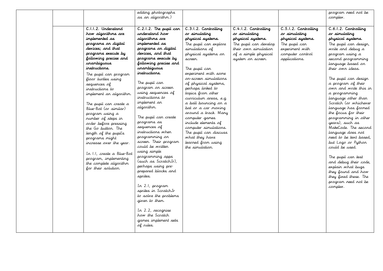|                                                                                                                                                                                                                                                                                                                                                                                                                                                                                                                                                                                                                              | editing photographs<br>as an algorithm.)                                                                                                                                                                                                                                                                                                                                                                                                                                                                                                                                              |                                                                                                                                                                                                                                                                                                                                                                                                                                                                                                                                    |                                                                                                                                                          |                                                                                                                                     | program need not be<br>complex.                                                                                                                                                                                                                                                                                                                                                                                                                                                                                                                                                                                                                               |
|------------------------------------------------------------------------------------------------------------------------------------------------------------------------------------------------------------------------------------------------------------------------------------------------------------------------------------------------------------------------------------------------------------------------------------------------------------------------------------------------------------------------------------------------------------------------------------------------------------------------------|---------------------------------------------------------------------------------------------------------------------------------------------------------------------------------------------------------------------------------------------------------------------------------------------------------------------------------------------------------------------------------------------------------------------------------------------------------------------------------------------------------------------------------------------------------------------------------------|------------------------------------------------------------------------------------------------------------------------------------------------------------------------------------------------------------------------------------------------------------------------------------------------------------------------------------------------------------------------------------------------------------------------------------------------------------------------------------------------------------------------------------|----------------------------------------------------------------------------------------------------------------------------------------------------------|-------------------------------------------------------------------------------------------------------------------------------------|---------------------------------------------------------------------------------------------------------------------------------------------------------------------------------------------------------------------------------------------------------------------------------------------------------------------------------------------------------------------------------------------------------------------------------------------------------------------------------------------------------------------------------------------------------------------------------------------------------------------------------------------------------------|
|                                                                                                                                                                                                                                                                                                                                                                                                                                                                                                                                                                                                                              |                                                                                                                                                                                                                                                                                                                                                                                                                                                                                                                                                                                       |                                                                                                                                                                                                                                                                                                                                                                                                                                                                                                                                    |                                                                                                                                                          |                                                                                                                                     |                                                                                                                                                                                                                                                                                                                                                                                                                                                                                                                                                                                                                                                               |
| C.I.I.2. Understand<br>how algorithms are<br>implemented as<br>programs on digital<br>devices; and that<br>programs execute by<br>following precise and<br>unambiguaus<br>instructions.<br>The pupil can program<br>floor turtles using<br>sequences of<br>instructions to<br>implement an algorithm.<br>The pupil can create a<br>Blue-Bot (or similar)<br>program using a<br>number of steps in<br>order before pressing<br>the Go button. The<br>length of the pupils<br>programs might<br>increase over the year.<br>In I.I, create a Blue-Bot<br>program, implementing<br>the complete algorithm<br>for their solution. | C.2.1.2. The pupil can<br>understand how<br>algorithms are<br>implemented as<br>programs on digital<br>devices, and that<br>programs execute by<br>following precise and<br>unambiguaus<br>instructions.<br>The pupil can<br>program on screen<br>using sequences of<br>instructions to<br>implement an<br>algorithm.<br>The pupil can create<br>programs as<br>sequences of<br>instructions when<br>programming on<br>screen. Their program<br>could be written<br>using simple<br>programming apps<br>(such as ScratchJr),<br>perhaps using pre-<br>prepared blocks and<br>sprites. | C.3.1.2. Controlling<br>or simulating<br>physical systems.<br>The pupil can explore<br>simulations of<br>physical systems on<br>screen.<br>The pupil can<br>experiment with some<br>or-screer simulations<br>of physical systems,<br>perhaps linked to<br>topics from other<br>curriculum areas, e.g.<br>a ball bouncing on a<br>bat or a car moving<br>around a track. Many<br>computer games<br>include elements of<br>computer simulations.<br>The pupil can discuss<br>what they have<br>learned from using<br>the simulation. | C.4.1.2. Controlling<br>or simulating<br>physical systems.<br>The pupil can develop<br>their own simulation<br>of a simple physical<br>system on screen. | C.5.1.2. Controlling<br>or simulating<br>physical systems.<br>The pupil can<br>experiment with<br>computer control<br>applications. | C.6.1.2. Controlling<br>or simulating<br>physical systems.<br>The pupil can design,<br>write and debug a<br>program using a<br>second programming<br>language based on<br>their own ideas.<br>The pupil can design<br>a program of their<br>own and write this in<br>a programming<br>language other than<br>Scratch (or whichever<br>language has formed<br>the focus for their<br>programming in other<br>years), such as<br>MakeCode. The second<br>language does not<br>need to be text based,<br>but Logo or Python<br>could be used.<br>The pupil can test<br>and debug their code,<br>explain what bugs<br>they found and how<br>they fixed these. The |
|                                                                                                                                                                                                                                                                                                                                                                                                                                                                                                                                                                                                                              | In 2.1, program<br>sprites in ScratchJr<br>to solve the problems                                                                                                                                                                                                                                                                                                                                                                                                                                                                                                                      |                                                                                                                                                                                                                                                                                                                                                                                                                                                                                                                                    |                                                                                                                                                          |                                                                                                                                     | program need not be<br>complex.                                                                                                                                                                                                                                                                                                                                                                                                                                                                                                                                                                                                                               |
|                                                                                                                                                                                                                                                                                                                                                                                                                                                                                                                                                                                                                              | given to them.<br>In 2.2, recognise<br>how the Scratch<br>games implement sets<br>of rules.                                                                                                                                                                                                                                                                                                                                                                                                                                                                                           |                                                                                                                                                                                                                                                                                                                                                                                                                                                                                                                                    |                                                                                                                                                          |                                                                                                                                     |                                                                                                                                                                                                                                                                                                                                                                                                                                                                                                                                                                                                                                                               |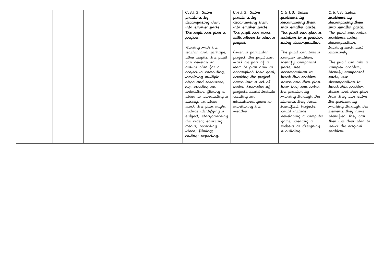|  |  | $C.3.1.3:$ Salve        | $C.4.1.3.$ Salve       | $C.5.1.3.$ Salve      | $C.6.1.3.$ Salve       |
|--|--|-------------------------|------------------------|-----------------------|------------------------|
|  |  | problems by             | problems by            | problems by           | problems by            |
|  |  | decomposing them        | decomposing them       | decomposing them      | decomposing them       |
|  |  | into smaller parts      | into smaller parts.    | into smaller parts.   | into smaller parts.    |
|  |  | The pupil can plan a    | The pupil can work     | The pupil can plan a  | The pupil can solve    |
|  |  | project.                | with others to plan a  | solution to a problem | problems using         |
|  |  |                         | project.               | using decomposition.  | decomposition,         |
|  |  | Working with the        |                        |                       | tackling each part     |
|  |  | teacher and, perhaps,   | Given a particular     | The pupil can take a  | separately.            |
|  |  | other pupils, the pupil | project, the pupil can | complex problem,      |                        |
|  |  | car develop ar          | work as part of a      | identify component    | The pupil can take a   |
|  |  | outline plan for a      | team to plan how to    | parts, use            | complex problem,       |
|  |  | project in computing,   | accomplish their goal, | decomposition to      | identify component     |
|  |  | involving multiple      | breaking the project   | break this problem    | parts, use             |
|  |  | steps and resources,    | down into a set of     | down and then plan    | decomposition to       |
|  |  | e.g. creating an        | tasks. Examples of     | how they can solve    | break this problem     |
|  |  | arimation, filming a    | projects could include | the problem by        | down and then plan     |
|  |  | video or conducting a   | creating an            | working through the   | how they can solve     |
|  |  | survey. In video        | educational game or    | elements they have    | the problem by         |
|  |  | work, the plan might    | monitoring the         | identified. Projects  | working through the    |
|  |  | include identifying a   | weather.               | could include         | elements they have     |
|  |  | subject; storyboarding  |                        | developing a computer | identified. they can   |
|  |  | the video; sourcing     |                        | game, creating a      | then use their plan to |
|  |  | media; recording        |                        | website or designing  | solve the original     |
|  |  | video; filming;         |                        | a building.           | problem.               |
|  |  | editing; exporting.     |                        |                       |                        |
|  |  |                         |                        |                       |                        |
|  |  |                         |                        |                       |                        |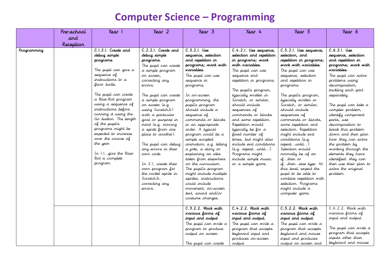#### **Computer Science – Programming**

|             | Pre-school | Year 1                                                                                                                                                                                                                                                                                                                                                          | $\gamma_{\text{ear}}$ 2                                                                                                                                                                                                                                                                                                               | Year 3                                                                                                                                                                                                                                                                                                                                                                                                          | Year 4                                                                                                                                                                                                                                                                                                                                                                                                   | Year 5                                                                                                                                                                                                                                                                                                                                                                                                            | Year 6                                                                                                                                                                                                                                                                                                                                                              |
|-------------|------------|-----------------------------------------------------------------------------------------------------------------------------------------------------------------------------------------------------------------------------------------------------------------------------------------------------------------------------------------------------------------|---------------------------------------------------------------------------------------------------------------------------------------------------------------------------------------------------------------------------------------------------------------------------------------------------------------------------------------|-----------------------------------------------------------------------------------------------------------------------------------------------------------------------------------------------------------------------------------------------------------------------------------------------------------------------------------------------------------------------------------------------------------------|----------------------------------------------------------------------------------------------------------------------------------------------------------------------------------------------------------------------------------------------------------------------------------------------------------------------------------------------------------------------------------------------------------|-------------------------------------------------------------------------------------------------------------------------------------------------------------------------------------------------------------------------------------------------------------------------------------------------------------------------------------------------------------------------------------------------------------------|---------------------------------------------------------------------------------------------------------------------------------------------------------------------------------------------------------------------------------------------------------------------------------------------------------------------------------------------------------------------|
|             | and        |                                                                                                                                                                                                                                                                                                                                                                 |                                                                                                                                                                                                                                                                                                                                       |                                                                                                                                                                                                                                                                                                                                                                                                                 |                                                                                                                                                                                                                                                                                                                                                                                                          |                                                                                                                                                                                                                                                                                                                                                                                                                   |                                                                                                                                                                                                                                                                                                                                                                     |
|             |            |                                                                                                                                                                                                                                                                                                                                                                 |                                                                                                                                                                                                                                                                                                                                       |                                                                                                                                                                                                                                                                                                                                                                                                                 |                                                                                                                                                                                                                                                                                                                                                                                                          |                                                                                                                                                                                                                                                                                                                                                                                                                   |                                                                                                                                                                                                                                                                                                                                                                     |
| Programming | Reception  | C.I.2.I. Create and<br>debug simple<br>programs.<br>The pupil can give a<br>sequence of<br>instructions to a<br>floor turtle.<br>The pupil can create<br>a Blue-Bot program<br>using a sequence of<br>instructions before<br>running it using the<br>Go button. The length<br>of the pupil's<br>programs might be<br>expected to increase<br>over the course of | C.2.2.1. Create and<br>debug simple<br>programs.<br>The pupil can create<br>a simple program<br>on screen,<br>correcting any<br>errors.<br>The pupil can create<br>a simple program<br>on screen (e.g.<br>using ScratchJr)<br>with a particular<br>goal or purpose in<br>mind (e.g. moving<br>a sprite from one<br>place to another). | C.3.2.1. Use<br>sequence, selection<br>and repetition in<br>programs; work with<br>variables.<br>The pupil can use<br>sequence in<br>programs.<br>Ir ar-screer<br>programming, the<br>pupil's program<br>should include a<br>sequence of<br>commands or blocks<br>in an appropriate<br>order. A typical<br>program could be a<br>simple scripted                                                                | C.4.2.1. Use sequence,<br>selection and repetition<br>in programs; work<br>with variables.<br>The pupil can use<br>sequence and<br>repetition in programs.<br>The pupil's program,<br>typically written in<br>Scratch, or similar,<br>should include<br>sequences of<br>commands or blocks<br>and some repetition.<br>Repetition would<br>typically be for a<br>fixed rumber of<br>times, but might also | $\overline{C.5.2}.1.$ Use sequence,<br>selection, and<br>repetition in programs;<br>work with variables.<br>The pupil can use<br>sequence, selection<br>and repetition in<br>programs.<br>The pupil's program,<br>typically writter in<br>Scratch, or similar,<br>should include<br>sequences of<br>commands or blocks.<br>some repetition and<br>selection. Repetition<br>might include exit<br>conditions (e.g. | C.6.2.1. Use<br>sequence, selection<br>and repetition in<br>programs; work with<br>variables.<br>The pupil can solve<br>problems using<br>decomposition,<br>tackling each part<br>separately.<br>The pupil can take a<br>complex problem,<br>identify component<br>parts, use<br>decomposition to<br>break this problem<br>down and then plan<br>how they can solve |
|             |            | the year.<br>In 1.1, give the Blue-<br>Bot a complete<br>program.                                                                                                                                                                                                                                                                                               | The pupil can debug<br>any errors in their<br>owr code.<br>In 2.1, create their<br>own program for<br>the rocket sprite in<br>ScratchJr,<br>correcting any<br>errors.                                                                                                                                                                 | animation, e.g. telling<br>a joke, a story or<br>explaining an idea<br>taken from elsewhere<br>on the curriculum.<br>The pupil's program<br>might include multiple<br>sprites; instructions<br>could include<br>movement, or-screer<br>text, sound and/or<br>costume changes.<br>C.3.2.2. Wark with<br>wariaus farms of<br>input and sutput<br>The pupil can write a<br>program to produce<br>output on screen. | include exit conditions<br>(e.g. repeatuntil).<br>Programs might<br>include simple music<br>or a simple game.<br>C. 4.2.2. Wark with<br>various farms af<br>input and output.<br>The pupil can write a<br>program that accepts<br>keyboard input and                                                                                                                                                     | repeatuntil).<br>Selection would<br>normally be of an<br>ifthen or<br>ifthenelse type. At<br>this level, expect the<br>pupil to be able to<br>combine repetition with<br>selection. Programs<br>might include a<br>computer game.<br>C.5.2.2. Wark with<br>wariaus farms af<br>input and output.<br>The pupil can write a<br>program that accepts<br>keyboard and mouse                                           | the problem by<br>working through the<br>elements they have<br>identified. they can<br>then use their plan to<br>solve the original<br>problem.<br>C.6.2.2. Work with<br>various forms of<br>input and output.<br>The pupil can write a<br>program that accepts                                                                                                     |
|             |            |                                                                                                                                                                                                                                                                                                                                                                 |                                                                                                                                                                                                                                                                                                                                       | The pupil can create                                                                                                                                                                                                                                                                                                                                                                                            | produces on-screen<br>output.                                                                                                                                                                                                                                                                                                                                                                            | input and produces<br>output on screen and                                                                                                                                                                                                                                                                                                                                                                        | inputs other than<br>keyboard and mouse                                                                                                                                                                                                                                                                                                                             |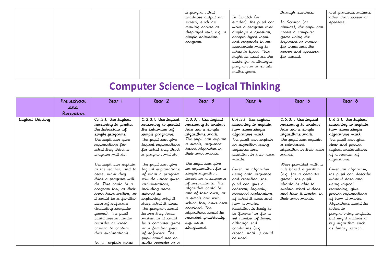|  |  | a program that         |                         | through speakers.       | and produces outputs |
|--|--|------------------------|-------------------------|-------------------------|----------------------|
|  |  | produces output on     | In Scratch (or          |                         | other than screen or |
|  |  | screer, such as        | similar), the pupil can | In Scratch (or          | speakers.            |
|  |  | moving sprites or      | write a program that    | similar), the pupil can |                      |
|  |  | displayed text, e.g. a | displays a question,    | create a computer       |                      |
|  |  | simple animation       | accepts typed input     | game using the          |                      |
|  |  | program.               | and responds in an      | keyboard or mouse       |                      |
|  |  |                        | appropriate way to      | for input and the       |                      |
|  |  |                        | what is typed. This     | screen and speakers     |                      |
|  |  |                        | might be used as the    | for output.             |                      |
|  |  |                        | basis for a dialogue    |                         |                      |
|  |  |                        | program or a simple     |                         |                      |
|  |  |                        | maths game.             |                         |                      |
|  |  |                        |                         |                         |                      |

# **Computer Science – Logical Thinking**

|                  | Pre-school | Year 1                                                                                                                                                                                                                                                                                                                                                                                                                                                                                                                                                     | Year 2                                                                                                                                                                                                                                                                                                                                                                                                                                                                                                                                               | Year 3                                                                                                                                                                                                                                                                                                                                                                                                                                                                                 | Year 4                                                                                                                                                                                                                                                                                                                                                                                                                                                                                                                   | Year 5                                                                                                                                                                                                                                                                                                                                                | Year 6                                                                                                                                                                                                                                                                                                                                                                                                                                                                       |
|------------------|------------|------------------------------------------------------------------------------------------------------------------------------------------------------------------------------------------------------------------------------------------------------------------------------------------------------------------------------------------------------------------------------------------------------------------------------------------------------------------------------------------------------------------------------------------------------------|------------------------------------------------------------------------------------------------------------------------------------------------------------------------------------------------------------------------------------------------------------------------------------------------------------------------------------------------------------------------------------------------------------------------------------------------------------------------------------------------------------------------------------------------------|----------------------------------------------------------------------------------------------------------------------------------------------------------------------------------------------------------------------------------------------------------------------------------------------------------------------------------------------------------------------------------------------------------------------------------------------------------------------------------------|--------------------------------------------------------------------------------------------------------------------------------------------------------------------------------------------------------------------------------------------------------------------------------------------------------------------------------------------------------------------------------------------------------------------------------------------------------------------------------------------------------------------------|-------------------------------------------------------------------------------------------------------------------------------------------------------------------------------------------------------------------------------------------------------------------------------------------------------------------------------------------------------|------------------------------------------------------------------------------------------------------------------------------------------------------------------------------------------------------------------------------------------------------------------------------------------------------------------------------------------------------------------------------------------------------------------------------------------------------------------------------|
|                  | and        |                                                                                                                                                                                                                                                                                                                                                                                                                                                                                                                                                            |                                                                                                                                                                                                                                                                                                                                                                                                                                                                                                                                                      |                                                                                                                                                                                                                                                                                                                                                                                                                                                                                        |                                                                                                                                                                                                                                                                                                                                                                                                                                                                                                                          |                                                                                                                                                                                                                                                                                                                                                       |                                                                                                                                                                                                                                                                                                                                                                                                                                                                              |
|                  | Reception  |                                                                                                                                                                                                                                                                                                                                                                                                                                                                                                                                                            |                                                                                                                                                                                                                                                                                                                                                                                                                                                                                                                                                      |                                                                                                                                                                                                                                                                                                                                                                                                                                                                                        |                                                                                                                                                                                                                                                                                                                                                                                                                                                                                                                          |                                                                                                                                                                                                                                                                                                                                                       |                                                                                                                                                                                                                                                                                                                                                                                                                                                                              |
| Lagical Thinking |            | C.I.3.I. Use logical<br>reasoning to predict<br>the behaviour of<br>simple programs.<br>The pupil can give<br>explanations for<br>what they think a<br>program will do.<br>The pupil can explain<br>to the teacher, and to<br>peers, what they<br>think a program will<br>do. This could be a<br>program they or their<br>peers have written, or<br>it could be a familiar<br>piece of software<br>(including computer<br>games). The pupil<br>could use an audio<br>recorder or video<br>camera to capture<br>their explanations.<br>In 1.1, explain what | C.2.3.1. Use logical<br>reasoning to predict<br>the behaviour of<br>simple programs.<br>The pupil can give<br>logical explarations<br>for what they think<br>a program will do.<br>The pupil can give<br>logical explanations<br>of what a program<br>will do under given<br>circumstances.<br>including some<br>attempt at<br>explaining why it<br>does what it does.<br>The program could<br>be one they have<br>written or it could<br>be a computer game<br>or a familiar piece<br>of software. The<br>pupil could use an<br>audio recorder or a | C.3.3.1. Use logical<br>reasoning to explain<br>how some simple<br>algorithms work.<br>The pupil can explain<br>a simple, sequence-<br>based algorithm in<br>their own words.<br>The pupil can give<br>an explanation for a<br>simple algorithm<br>based on a sequence<br>of instructions. The<br>algorithm could be<br>one of their own, or<br>a simple one with<br>which they have been<br>provided. The<br>algorithms could be<br>recorded graphically,<br>e.g. as a<br>storyboard. | C.4.3.1. Use logical<br>reasaring to explain<br>how some simple<br>algarithms wark.<br>The pupil can explain<br>an algorithm using<br>sequence and<br>repetition in their own<br>wards.<br>Given an algorithm<br>using both sequence<br>and repetition, the<br>pupil can give a<br>coherent, logically<br>reasoned explanation<br>of what it does and<br>how it works.<br>Repetition is likely to<br>be 'forever' or for a<br>set number of times,<br>although end<br>conditions (e.g.<br>repeatuntil) could<br>be used. | C.5.3.1. Use logical<br>reasoning to explain<br>how some simple<br>algarithms wark.<br>The pupil can explain<br>a rule-based<br>algorithm in their own<br>wards.<br>When provided with a<br>rule-based algorithm<br>(e.g. for a computer<br>game), the pupil<br>should be able to<br>explain what it does<br>and how it works, in<br>their own words. | C.6.3.1. Use lagical<br>reasoning to explain<br>how some simple<br>algarithms wark.<br>The pupil can give<br>clear and precise<br>logical explanations<br>of a rumber of<br>algorithms.<br>Given an algorithm,<br>the pupil can describe<br>what it does and.<br>using logical<br>reasoning, give<br>precise explanations<br>of how it works.<br>Algorithms could be<br>linked to<br>programming projects,<br>but might include a<br>key algorithm such<br>as binary search. |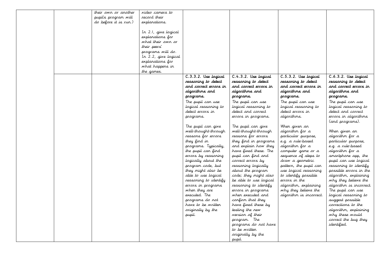|  | their own or another  | video camera to      |                       |                        |                         |                         |
|--|-----------------------|----------------------|-----------------------|------------------------|-------------------------|-------------------------|
|  | pupils program will   | record their         |                       |                        |                         |                         |
|  | do before it is run.) | explanations.        |                       |                        |                         |                         |
|  |                       |                      |                       |                        |                         |                         |
|  |                       | In 2.1, give logical |                       |                        |                         |                         |
|  |                       | explanations for     |                       |                        |                         |                         |
|  |                       | what their own or    |                       |                        |                         |                         |
|  |                       | their peers'         |                       |                        |                         |                         |
|  |                       | programs will do.    |                       |                        |                         |                         |
|  |                       | In 2.2, give logical |                       |                        |                         |                         |
|  |                       | explanations for     |                       |                        |                         |                         |
|  |                       | what happens in      |                       |                        |                         |                         |
|  |                       | the games.           |                       |                        |                         |                         |
|  |                       |                      | C.3.3.2. Use logical  | C.4.3.2. Use lagical   | C.5.3.2. Use logical    | C.6.3.2. Use logical    |
|  |                       |                      | reasoning to detect   | reasoning to detect    | reasoning to detect     | reasoning to detect     |
|  |                       |                      | and carrect errors in | and carrect errors in  | and carrect errars in   | and correct errors in   |
|  |                       |                      | algarithms and        | algarithms and         | algarithms and          | algarithms and          |
|  |                       |                      | programs.             | programs.              | programs.               | programs.               |
|  |                       |                      |                       |                        |                         |                         |
|  |                       |                      | The pupil can use     | The pupil can use      | The pupil can use       | The pupil can use       |
|  |                       |                      | logical reasoning to  | logical reasoning to   | logical reasoning to    | logical reasoning to    |
|  |                       |                      | detect errors in      | detect and correct     | detect errors in        | detect and correct      |
|  |                       |                      | programs.             | errors in programs.    | algorithms.             | errors in algorithms    |
|  |                       |                      |                       |                        |                         | (and programs).         |
|  |                       |                      | The pupil can give    | The pupil can give     | When given an           |                         |
|  |                       |                      | well-thought-through  | well-thought-through   | algorithm for a         | When given an           |
|  |                       |                      | reasons for errors    | reasons for errors     | particular purpose,     | algorithm for a         |
|  |                       |                      | they find in          | they find in programs  | e.g. a rule-based       | particular purpose,     |
|  |                       |                      | programs. Typically,  | and explain how they   | algorithm for a         | e.g. a rule-based       |
|  |                       |                      | the pupil can find    | have fixed these. The  | computer game or a      | algorithm for a         |
|  |                       |                      | errors by reasoning   | pupil can find and     | sequence of steps to    | smartphone app, the     |
|  |                       |                      | logically about the   | correct errors by      | draw a geometric        | pupil can use logical   |
|  |                       |                      | program code, but     | reasoning logically    | pattern, the pupil can  | reasoning to identify   |
|  |                       |                      | they might also be    | about the program      | use logical reasoning   | possible errors in the  |
|  |                       |                      | able to use logical   | code; they might also  | to identify possible    | algorithm, explaining   |
|  |                       |                      | reasoning to identify | be able to use logical | errors in the           | why they believe the    |
|  |                       |                      | errors in programs    | reasoning to identify  | algorithm, explaining   | algorithm is incorrect. |
|  |                       |                      | when they are         | errors in programs     | why they believe the    | The pupil can use       |
|  |                       |                      | executed. The         | when executed and      | algorithm is incorrect. | logical reasoning to    |
|  |                       |                      | programs do not       | confirm that they      |                         | suggest possible        |
|  |                       |                      | have to be written    | have fixed these by    |                         | corrections to the      |
|  |                       |                      | originally by the     | testing the new        |                         | algorithm, explaining   |
|  |                       |                      | pupil.                | version of their       |                         | why these would         |
|  |                       |                      |                       | program. The           |                         | correct the bug they    |
|  |                       |                      |                       | programs do not have   |                         | <i>identified.</i>      |
|  |                       |                      |                       | to be written          |                         |                         |
|  |                       |                      |                       | originally by the      |                         |                         |
|  |                       |                      |                       | pupil.                 |                         |                         |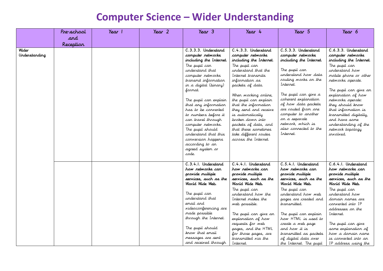#### **Computer Science – Wider Understanding**

| and<br>Reception |  |                                                                                                                                                                                                                                                                                                                                                                                                                                                        |                                                                                                                                                                                                                                                                                                                                                                                                                    |                                                                                                                                                                                                                                                                                                                                                   |                                                                                                                                                                                                                                                                                                                                                                         |
|------------------|--|--------------------------------------------------------------------------------------------------------------------------------------------------------------------------------------------------------------------------------------------------------------------------------------------------------------------------------------------------------------------------------------------------------------------------------------------------------|--------------------------------------------------------------------------------------------------------------------------------------------------------------------------------------------------------------------------------------------------------------------------------------------------------------------------------------------------------------------------------------------------------------------|---------------------------------------------------------------------------------------------------------------------------------------------------------------------------------------------------------------------------------------------------------------------------------------------------------------------------------------------------|-------------------------------------------------------------------------------------------------------------------------------------------------------------------------------------------------------------------------------------------------------------------------------------------------------------------------------------------------------------------------|
|                  |  |                                                                                                                                                                                                                                                                                                                                                                                                                                                        |                                                                                                                                                                                                                                                                                                                                                                                                                    |                                                                                                                                                                                                                                                                                                                                                   |                                                                                                                                                                                                                                                                                                                                                                         |
|                  |  |                                                                                                                                                                                                                                                                                                                                                                                                                                                        |                                                                                                                                                                                                                                                                                                                                                                                                                    |                                                                                                                                                                                                                                                                                                                                                   |                                                                                                                                                                                                                                                                                                                                                                         |
|                  |  | C.3.3.3. Understand<br>computer networks<br>including the Internet.<br>The pupil can<br>understand that<br>computer networks<br>transmit information<br>in a digital (binary)<br>format.<br>The pupil can explain<br>that any information<br>has to be converted<br>to numbers before it<br>can travel through<br>computer networks.<br>The pupil should<br>understand that this<br>conversion happens<br>according to an<br>agreed system or<br>code. | C.4.3.3. Understand<br>computer networks<br>including the Internet.<br>The pupil can<br>understand that the<br>Internet transmits<br>information as<br>packets of data.<br>When working online,<br>the pupil can explain<br>that the information<br>they send and receive<br>is automatically<br>broken down into<br>packets of data, and<br>that these sometimes<br>take different routes<br>across the Internet. | C.5.3.3. Understand<br>computer networks<br>including the Internet.<br>The pupil can<br>understand how data<br>routing works on the<br>Internet.<br>The pupil can give a<br>coherent explanation<br>of how data packets<br>are routed from one<br>computer to another<br>on a separate<br>network, which is<br>also connected to the<br>Internet. | C.6.3.3. Understand<br>computer networks<br>including the Internet.<br>The pupil can<br>understand how<br>mobile phone or other<br>networks operate.<br>The pupil can give an<br>explanation of how<br>networks operate:<br>they should know<br>that information is<br>transmitted digitally,<br>and have some<br>understanding of the<br>network topology<br>involved. |
|                  |  | C.3.4.1. Understand<br>how retwarks can<br>provide multiple<br>services, such as the<br>Warld Wide Web.<br>The pupil can<br>understand that<br>email and<br>videoconferencing are<br>made possible<br>through the Internet.<br>The pupil should<br>know that email                                                                                                                                                                                     | C.4.4.1. Understand<br>how retwarks can<br>provide multiple<br>services, such as the<br>World Wide Web.<br>The pupil can<br>understand how the<br>Internet makes the<br>web possible.<br>The pupil can give an<br>explanation of how<br>requests for web<br>pages, and the HTML<br>for those pages, are                                                                                                            | C.5.4.1. Understand<br>how retwarks can<br>provide multiple<br>services, such as the<br>World Wide Web.<br>The pupil can<br>understand how web<br>pages are created and<br>transmitted.<br>The pupil can explain<br>how HTML is used to<br>create a web page<br>and how it is<br>transmitted as packets                                           | C.6.4.1. Understand<br>how retwarks can<br>provide multiple<br>services, such as the<br>Warld Wide Web.<br>The pupil can<br>understand how<br>domain names are<br>converted into IP<br>addresses on the<br>Internet.<br>The pupil can give<br>some explanation of<br>how a domain name<br>is converted into an                                                          |
|                  |  |                                                                                                                                                                                                                                                                                                                                                                                                                                                        | messages are sent<br>and received through                                                                                                                                                                                                                                                                                                                                                                          | transmitted via the<br>Internet.                                                                                                                                                                                                                                                                                                                  | of digital data over<br>the Internet. The pupil                                                                                                                                                                                                                                                                                                                         |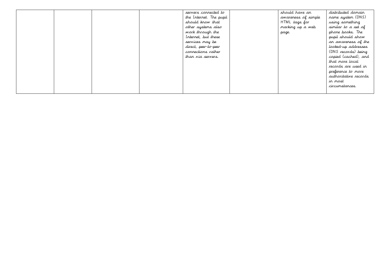|  |  | servers connected to    | should have an      | distributed domain    |
|--|--|-------------------------|---------------------|-----------------------|
|  |  | the Internet. The pupil | awareness of simple | name system (DNS)     |
|  |  | should know that        | HTML tags for       | using something       |
|  |  | other systems also      | marking up a web    | similar to a set of   |
|  |  | work through the        | page.               | phone books. The      |
|  |  | Internet, but these     |                     | pupil should show     |
|  |  | services may be         |                     | ar awareress of the   |
|  |  | direct, peer-to-peer    |                     | looked-up addresses   |
|  |  | connections rather      |                     | (DNS records) being   |
|  |  | than via servers.       |                     | copied (cached), and  |
|  |  |                         |                     | that more local       |
|  |  |                         |                     | records are used in   |
|  |  |                         |                     | preference to more    |
|  |  |                         |                     | authoritative records |
|  |  |                         |                     | in most               |
|  |  |                         |                     | circumstances.        |
|  |  |                         |                     |                       |
|  |  |                         |                     |                       |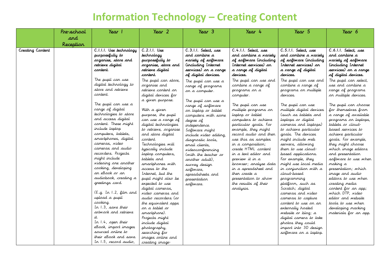### **Information Technology – Creating Content**

|                  | Pre-school | Year 1                                                                                                                                                                                                                                                                                                                                                                                                                                                                                                                                                      | Year 2                                                                                                                                                                                                                                                                                                                                                                                                                                                                                                                         | Year 3                                                                                                                                                                                                                                                                                                                                                 | Year 4                                                                                                                                                                                                                                                                                                                                                                                                      | Year 5                                                                                                                                                                                                                                                                                                                                                                                                                                                                                                                                                                                        | Year 6                                                                                                                                                                                                                                                                                                                                                                                                                                                                                                         |
|------------------|------------|-------------------------------------------------------------------------------------------------------------------------------------------------------------------------------------------------------------------------------------------------------------------------------------------------------------------------------------------------------------------------------------------------------------------------------------------------------------------------------------------------------------------------------------------------------------|--------------------------------------------------------------------------------------------------------------------------------------------------------------------------------------------------------------------------------------------------------------------------------------------------------------------------------------------------------------------------------------------------------------------------------------------------------------------------------------------------------------------------------|--------------------------------------------------------------------------------------------------------------------------------------------------------------------------------------------------------------------------------------------------------------------------------------------------------------------------------------------------------|-------------------------------------------------------------------------------------------------------------------------------------------------------------------------------------------------------------------------------------------------------------------------------------------------------------------------------------------------------------------------------------------------------------|-----------------------------------------------------------------------------------------------------------------------------------------------------------------------------------------------------------------------------------------------------------------------------------------------------------------------------------------------------------------------------------------------------------------------------------------------------------------------------------------------------------------------------------------------------------------------------------------------|----------------------------------------------------------------------------------------------------------------------------------------------------------------------------------------------------------------------------------------------------------------------------------------------------------------------------------------------------------------------------------------------------------------------------------------------------------------------------------------------------------------|
|                  | and        |                                                                                                                                                                                                                                                                                                                                                                                                                                                                                                                                                             |                                                                                                                                                                                                                                                                                                                                                                                                                                                                                                                                |                                                                                                                                                                                                                                                                                                                                                        |                                                                                                                                                                                                                                                                                                                                                                                                             |                                                                                                                                                                                                                                                                                                                                                                                                                                                                                                                                                                                               |                                                                                                                                                                                                                                                                                                                                                                                                                                                                                                                |
|                  | Reception  |                                                                                                                                                                                                                                                                                                                                                                                                                                                                                                                                                             |                                                                                                                                                                                                                                                                                                                                                                                                                                                                                                                                |                                                                                                                                                                                                                                                                                                                                                        |                                                                                                                                                                                                                                                                                                                                                                                                             |                                                                                                                                                                                                                                                                                                                                                                                                                                                                                                                                                                                               |                                                                                                                                                                                                                                                                                                                                                                                                                                                                                                                |
| Creating Content |            | C.I.I.I. Use technology<br>purposefully to<br>arganise, stare and<br>retrieve digital<br>cartent.                                                                                                                                                                                                                                                                                                                                                                                                                                                           | $C.2.1.1.$ Use<br>technology<br>purposefully to<br>arganise, stare and<br><i>re</i> trieve digital<br>cartent.                                                                                                                                                                                                                                                                                                                                                                                                                 | C.3.1.1. Select, use<br>and cambine a<br>wariety of software<br><i>Cincluding Internet</i><br>services) on a range<br>of digital devices.                                                                                                                                                                                                              | C.4.1.1. Select, use<br>and combine a variety<br>of software (including<br>Internet services) on<br>a range of digital<br>devices.                                                                                                                                                                                                                                                                          | C.5.1.1. Select, use<br>and combine a wariety<br>of software (including<br>Internet services) on<br>a range of digital<br>devices.                                                                                                                                                                                                                                                                                                                                                                                                                                                            | C.6.1.1. Select, use<br>and cambine a<br>wariety of software<br><i>Cincluding Internet</i><br>services) on a range<br>of digital devices.                                                                                                                                                                                                                                                                                                                                                                      |
|                  |            | The pupil can use<br>digital technology to<br>store and retrieve<br>content.                                                                                                                                                                                                                                                                                                                                                                                                                                                                                | The pupil can store,<br>arganise and<br>retrieve content on<br>digital devices for                                                                                                                                                                                                                                                                                                                                                                                                                                             | The pupil can use a<br>range of programs<br>on a computer.                                                                                                                                                                                                                                                                                             | The pupil can use and<br>combine a range of<br>programs on a<br>computer.                                                                                                                                                                                                                                                                                                                                   | The pupil can use and<br>combine a range of<br>programs on multiple<br>devices.                                                                                                                                                                                                                                                                                                                                                                                                                                                                                                               | The pupil can select,<br>use and combine a<br>range of programs<br>on multiple devices.                                                                                                                                                                                                                                                                                                                                                                                                                        |
|                  |            | The pupil can use a<br>range of digital<br>technologies to store<br>and access digital<br>content. These might<br>include laptop<br>computers, tablets,<br>smartphones, digital<br>cameras, video<br>cameras and audio<br>recorders. Projects<br>might include<br>videoing one another<br>cooking, developing<br>an eBook or an<br>audiobook, creating a<br>greetings card.<br>(E.g. In 1.2, film and<br>upload a pupil<br>cooking.<br>In 1.3, save their<br>artwork and retrieve<br>it.<br>Ir 1.4, oper their<br>eBook, import images<br>sourced online to | a given purpose.<br>With a given<br>purpose, the pupil<br>can use a range of<br>digital technologies<br>to retrieve, organise<br>and store digital<br>content.<br>Technologies will<br>typically include<br>laptop computers,<br>tablets and<br>smartphones with<br>access to the<br>Internet, but the<br>pupil might also be<br>expected to use<br>digital cameras,<br>video cameras and<br>audio recorders (or<br>the equivalent apps<br>on a tablet or<br>smartphone).<br>Projects might<br>include digital<br>photography, | The pupil can use a<br>range of software<br>on laptop or tablet<br>computers with some<br>degree of<br>independence.<br>Software might<br>include video editing,<br>diagnostic tools,<br>email clients,<br>wideoconferencing<br>(with the teacher or<br>another adult),<br>survey design<br>software,<br>spreadsheets and<br>presentation<br>software. | The pupil can use<br>multiple programs on<br>laptop or tablet<br>computers to achieve<br>particular goals. For<br>example, they might<br>record audio and then<br>use this as samples<br>in a composition;<br>create HTML content<br>in a text editor and<br>preview it in a<br>browser; analyse data<br>in a spreadsheet and<br>then create a<br>presentation to show<br>the results of their<br>analysis. | The pupil can use<br>multiple digital devices<br>(such as tablets and<br>laptops or digital<br>cameras and laptops)<br>to achieve particular<br>goals. The devices<br>might include web<br>servers, allowing<br>them to use cloud-<br>based applications.<br>For example, they<br>might use local media<br>in conjunction with a<br>cloud-based<br>programming<br>platform, such as<br>Scratch; digital<br>cameras and video<br>cameras to capture<br>content to use on an<br>externally hosted<br>website or blog; a<br>digital camera to take<br>photos they could<br>import into 3D design | The pupil can choose<br>for themselves from<br>a range of available<br>programs on laptops,<br>tablets or cloud-<br>based services to<br>achieve particular<br>goals. For example,<br>they might choose<br>which image editors<br>and presentation<br>software to use when<br>making a<br>presentation; which<br>image and audio<br>editors to use when<br>creating media<br>content for an app;<br>which DTP, video<br>editor and website<br>tools to use when<br>developing marking<br>materials for an app. |
|                  |            | their eBook and save.<br>In 1.5, record audio,                                                                                                                                                                                                                                                                                                                                                                                                                                                                                                              | searching for<br>images online and<br>creating image-                                                                                                                                                                                                                                                                                                                                                                                                                                                                          |                                                                                                                                                                                                                                                                                                                                                        |                                                                                                                                                                                                                                                                                                                                                                                                             | software on a laptop.                                                                                                                                                                                                                                                                                                                                                                                                                                                                                                                                                                         |                                                                                                                                                                                                                                                                                                                                                                                                                                                                                                                |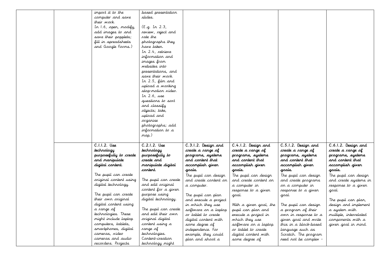| import it to the<br>computer and save<br>their work.<br>In 1.6, open, modify,<br>add images to and<br>save their popplets;<br>fill in spreadsheets<br>and Google Forms.)                                                                                                                                                                                                                                             | based presentation<br>slides.<br>(E.g. In 2.3,<br>review, reject and<br>rate the<br>photographs they<br>have taken.<br>In 2.4, retrieve<br>information and<br>images from<br>websites into<br>presentations, and<br>save their work.<br>In 2.5, film and<br>upload a working<br>stop-motion video.<br>In $2.6$ , use<br>questions to sort<br>and classify<br>objects; take,<br>upload and<br>organise<br>photographs; add<br>information to a<br>map.) |                                                                                                                                                                                                                                                                                                                                                                                                              |                                                                                                                                                                                                                                                                                                                                                                                                      |                                                                                                                                                                                                                                                                                                                                                                                                                |                                                                                                                                                                                                                                                                                                                                                     |
|----------------------------------------------------------------------------------------------------------------------------------------------------------------------------------------------------------------------------------------------------------------------------------------------------------------------------------------------------------------------------------------------------------------------|--------------------------------------------------------------------------------------------------------------------------------------------------------------------------------------------------------------------------------------------------------------------------------------------------------------------------------------------------------------------------------------------------------------------------------------------------------|--------------------------------------------------------------------------------------------------------------------------------------------------------------------------------------------------------------------------------------------------------------------------------------------------------------------------------------------------------------------------------------------------------------|------------------------------------------------------------------------------------------------------------------------------------------------------------------------------------------------------------------------------------------------------------------------------------------------------------------------------------------------------------------------------------------------------|----------------------------------------------------------------------------------------------------------------------------------------------------------------------------------------------------------------------------------------------------------------------------------------------------------------------------------------------------------------------------------------------------------------|-----------------------------------------------------------------------------------------------------------------------------------------------------------------------------------------------------------------------------------------------------------------------------------------------------------------------------------------------------|
| C.I.I.2. Use<br>technology<br>purposefully to create<br>and manipulate<br>digital cartert.<br>The pupil can create<br>original content using<br>digital technology.<br>The pupil can create<br>their own original<br>digital content using<br>a range of<br>technologies. These<br>might include laptop<br>computers, tablets,<br>smartphones, digital<br>cameras, video<br>cameras and audio<br>recorders. Projects | $C.2.1.2.$ Use<br>technology<br>purposefully to<br>create and<br>manipulate digital<br>cartent.<br>The pupil can create<br>and edit original<br>content for a given<br>purpose using<br>digital technology.<br>The pupil can create<br>and edit their own<br>sriginal digital<br>content using a<br>range of<br>technologies.<br>Content-creation<br>technology might                                                                                  | C.3.1.2. Design and<br>create a range of<br>programs, systems<br>and cantent that<br>accomplish given<br>gaals.<br>The pupil can design<br>and create content on<br>a computer.<br>The pupil can plan<br>and execute a project<br>in which they use<br>software on a laptop<br>or tablet to create<br>digital content with<br>some degree of<br>independence. For<br>example, they could<br>plan and shoot a | C.4.1.2. Design and<br>create a range of<br>programs, systems<br>and cantent that<br>accomplish given<br>goals.<br>The pupil can design<br>and create content on<br>a computer in<br>response to a given<br>goal.<br>With a given goal, the<br>pupil can plan and<br>execute a project in<br>which they use<br>software on a laptop<br>or tablet to create<br>digital content with<br>some degree of | C.5.1.2. Design and<br>create a range of<br>programs, systems<br>and content that<br>accomplish given<br>goals.<br>The pupil can design<br>and create programs<br>on a computer in<br>response to a given<br>goal.<br>The pupil can design<br>a program of their<br>own in response to a<br>given goal and write<br>this in a block-based<br>language such as<br>Scratch. The program<br>need not be complex - | $\overline{C.6.1.2.}$ Design and<br>create a range of<br>programs, systems<br>and content that<br>accomplish given<br>gaals.<br>The pupil can design<br>and create systems in<br>response to a given<br>goal.<br>The pupil can plan,<br>design and implement<br>a system with<br>multiple, interrelated<br>components with a<br>given goal in mind. |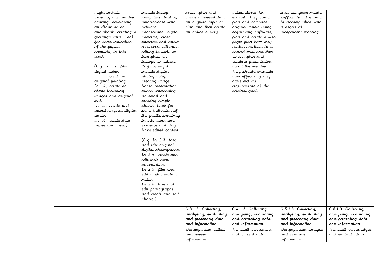|  | might include               | include laptop         | video, plan and       | independence. For     | a simple game would    |                                   |
|--|-----------------------------|------------------------|-----------------------|-----------------------|------------------------|-----------------------------------|
|  | videoing one another        | computers, tablets,    | create a presentation | example, they could   | suffice, but it should |                                   |
|  | cooking, developing         | smartphones with       | on a given topic or   | plan and compose      | be accomplished with   |                                   |
|  | ar eBook or ar              | retwark                | plan and then create  | original music using  | a degree of            |                                   |
|  | audiobook, creating a       | connections, digital   | an online survey.     | sequencing software;  | independent working.   |                                   |
|  | greetings card. Look        | cameras, video         |                       | plan and create a web |                        |                                   |
|  | for some indication         | cameras and audio      |                       | page; plan how they   |                        |                                   |
|  | of the pupils               | recorders, although    |                       | could contribute to a |                        |                                   |
|  | creativity in this          | editing is likely to   |                       | shared wiki and then  |                        |                                   |
|  | work.                       | take place on          |                       | do so; plan and       |                        |                                   |
|  |                             | laptops or tablets.    |                       | create a presentation |                        |                                   |
|  | (E.g. In 1.2, film          | Projects might         |                       | about the weather.    |                        |                                   |
|  | digital <i>vi</i> deo.      | include digital        |                       | They should evaluate  |                        |                                   |
|  | In 1.3, create an           | photography,           |                       | how effectively they  |                        |                                   |
|  | original painting.          | creating image-        |                       | have met the          |                        |                                   |
|  | In 1.4, create an           | based presentation     |                       | requirements of the   |                        |                                   |
|  | eBook including             | slides, composing      |                       |                       |                        |                                   |
|  |                             |                        |                       | original goal.        |                        |                                   |
|  | images and <i>ori</i> ginal | ar email and           |                       |                       |                        |                                   |
|  | text.                       | creating simple        |                       |                       |                        |                                   |
|  | In 1.5, create and          | charts. Look for       |                       |                       |                        |                                   |
|  | record original digital     | some indication of     |                       |                       |                        |                                   |
|  | audio.                      | the pupil's creativity |                       |                       |                        |                                   |
|  | In 1.6, create data         | in this work and       |                       |                       |                        |                                   |
|  | tables and trees.)          | evidence that they     |                       |                       |                        |                                   |
|  |                             | have edited content.   |                       |                       |                        |                                   |
|  |                             |                        |                       |                       |                        |                                   |
|  |                             | (E.g. In 2.3, take     |                       |                       |                        |                                   |
|  |                             | and edit original      |                       |                       |                        |                                   |
|  |                             | digital photographs.   |                       |                       |                        |                                   |
|  |                             | In 2.4, create and     |                       |                       |                        |                                   |
|  |                             | edit their own         |                       |                       |                        |                                   |
|  |                             | presentation.          |                       |                       |                        |                                   |
|  |                             | In $2.5$ , film and    |                       |                       |                        |                                   |
|  |                             | edit a stop-motion     |                       |                       |                        |                                   |
|  |                             | video.                 |                       |                       |                        |                                   |
|  |                             | In 2.6, take and       |                       |                       |                        |                                   |
|  |                             | edit photographs       |                       |                       |                        |                                   |
|  |                             | and create and edit    |                       |                       |                        |                                   |
|  |                             | charts.)               |                       |                       |                        |                                   |
|  |                             |                        |                       |                       |                        |                                   |
|  |                             |                        | C.3.1.3. Collecting,  | C.4.1.3. Collecting,  | C.5.1.3. Collecting,   | $\overline{C.6.1.3.}$ Collecting, |
|  |                             |                        | analysing, evaluating | analysing, evaluating | analysing, evaluating  | analysing, evaluating             |
|  |                             |                        | and presenting data   | and presenting data   | and presenting data    | and presenting data               |
|  |                             |                        | and information.      | and information.      | and information.       | and information.                  |
|  |                             |                        | The pupil can collect | The pupil can collect | The pupil can analyse  | The pupil can analyse             |
|  |                             |                        | and present           | and present data.     | and evaluate           | and evaluate data.                |
|  |                             |                        | information.          |                       | information.           |                                   |
|  |                             |                        |                       |                       |                        |                                   |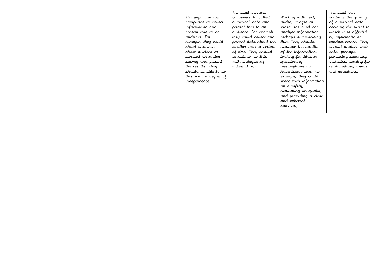|  |  |                       | The pupil can use      |                        | The pupil can           |
|--|--|-----------------------|------------------------|------------------------|-------------------------|
|  |  | The pupil can use     | computers to collect   | Working with text,     | evaluate the quality    |
|  |  | computers to collect  | rumerical data and     | audio, images or       | of rumerical data,      |
|  |  | information and       | present this to an     | video, the pupil can   | deciding the extent to  |
|  |  | present this to an    | audience. For example, | analyse information,   | which it is affected    |
|  |  | audience. For         | they could collect and | perhaps summarising    | by systematic or        |
|  |  | example, they could   | present data about the | this. They should      | random errors. They     |
|  |  | shoot and then        | weather over a period  | evaluate the quality   | should analyse their    |
|  |  | show a video or       | of time. They should   | of the information,    | data, perhaps           |
|  |  | conduct an orline     | be able to do this     | looking for bias or    | producing summary       |
|  |  | survey and present    | with a degree of       | questioning            | statistics, looking for |
|  |  | the results. They     | independence.          | assumptions that       | relationships, trends   |
|  |  | should be able to do  |                        | have been made. For    | and exceptions.         |
|  |  | this with a degree of |                        | example, they could    |                         |
|  |  | independence.         |                        | work with information  |                         |
|  |  |                       |                        | or e-safety,           |                         |
|  |  |                       |                        | evaluating its quality |                         |
|  |  |                       |                        | and providing a clear  |                         |
|  |  |                       |                        | and coherent           |                         |
|  |  |                       |                        | summary.               |                         |
|  |  |                       |                        |                        |                         |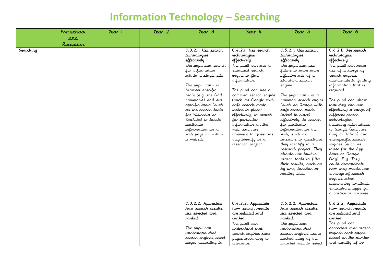### **Information Technology – Searching**

|           | Pre-school | Year 1 | Year <sub>2</sub> | $\gamma_{\text{ear}}$ 3                                                                                                                                                                                                                                                                                                                                                       | Year 4                                                                                                                                                                                                                                                                                                                                                                                              | Year 5                                                                                                                                                                                                                                                                                                                                                                                                                                                                                                                           | Year 6                                                                                                                                                                                                                                                                                                                                                                                                                                                                                                            |
|-----------|------------|--------|-------------------|-------------------------------------------------------------------------------------------------------------------------------------------------------------------------------------------------------------------------------------------------------------------------------------------------------------------------------------------------------------------------------|-----------------------------------------------------------------------------------------------------------------------------------------------------------------------------------------------------------------------------------------------------------------------------------------------------------------------------------------------------------------------------------------------------|----------------------------------------------------------------------------------------------------------------------------------------------------------------------------------------------------------------------------------------------------------------------------------------------------------------------------------------------------------------------------------------------------------------------------------------------------------------------------------------------------------------------------------|-------------------------------------------------------------------------------------------------------------------------------------------------------------------------------------------------------------------------------------------------------------------------------------------------------------------------------------------------------------------------------------------------------------------------------------------------------------------------------------------------------------------|
|           | and        |        |                   |                                                                                                                                                                                                                                                                                                                                                                               |                                                                                                                                                                                                                                                                                                                                                                                                     |                                                                                                                                                                                                                                                                                                                                                                                                                                                                                                                                  |                                                                                                                                                                                                                                                                                                                                                                                                                                                                                                                   |
|           |            |        |                   |                                                                                                                                                                                                                                                                                                                                                                               |                                                                                                                                                                                                                                                                                                                                                                                                     |                                                                                                                                                                                                                                                                                                                                                                                                                                                                                                                                  |                                                                                                                                                                                                                                                                                                                                                                                                                                                                                                                   |
| Searching | Reception  |        |                   | C.3.2.1. Use search<br>technologies<br>effectively.<br>The pupil can search<br>for information<br>within a single site.<br>The pupil can use<br>browser-specific<br>tools (e.g. the Find<br>command) and site-<br>specific tools (such<br>as the search tools<br>for Wikipedia or<br>YouTube) to locate<br>particular<br>information on a<br>web page or within<br>a website. | C.4.2.1. Use search<br>technologies<br>effectively.<br>The pupil can use a<br>standard search<br>engine to find<br>information.<br>The pupil can use a<br>common search engine<br>(such as Google with<br>safe search mode<br>locked in place)<br>effectively, to search<br>for particular<br>information on the<br>web, such as<br>answers to questions<br>they identify in a<br>research project. | C.5.2.1. Use search<br>technologies<br>effectively.<br>The pupil can use<br>filters to make more<br>effective use of a<br>standard search<br>engine.<br>The pupil can use a<br>common search engine<br>(such as Google with<br>safe search mode<br>locked in place)<br>effectively, to search<br>for particular<br>information on the<br>web, such as<br>answers to questions<br>they identify in a<br>research project. They<br>should use built-in<br>search tools to filter<br>their results, such as<br>by time, location or | C.6.2.1. Use search<br>technologies<br>effectively.<br>The pupil can make<br>use of a range of<br>search engines<br>appropriate to finding<br>information that is<br>required.<br>The pupil can show<br>that they can use<br>effectively a range of<br>different search<br>technologies,<br>including alternatives<br>to Google (such as<br>Bing or Yahoo) and<br>site-specific search<br>engines (such as<br>those for the App<br>Store or Google<br>Play). E.g. They<br>could demonstrate<br>how they would use |
|           |            |        |                   | C.3.2.2. Appreciate<br>how search results<br>are selected and                                                                                                                                                                                                                                                                                                                 | C.4.2.2. Appreciate<br>how search results<br>are selected and                                                                                                                                                                                                                                                                                                                                       | reading level.<br>C.5.2.2. Appreciate<br>how search results<br>are selected and                                                                                                                                                                                                                                                                                                                                                                                                                                                  | a range of search<br>engines when<br>researching available<br>smartphone apps for<br>a particular purpose.<br>C.6.2.2. Appreciate<br>how search results<br>are selected and                                                                                                                                                                                                                                                                                                                                       |
|           |            |        |                   | ranked.<br>The pupil can<br>understand that<br>search engines select<br>pages according to                                                                                                                                                                                                                                                                                    | ranked.<br>The pupil can<br>understand that<br>search engines rank<br>pages according to<br>relevance.                                                                                                                                                                                                                                                                                              | ranked.<br>The pupil can<br>understand that<br>search engines use a<br>cached copy of the<br>crawled web to select                                                                                                                                                                                                                                                                                                                                                                                                               | ranked.<br>The pupil can<br>appreciate that search<br>engines rank pages<br>based on the number<br>and quality of in-                                                                                                                                                                                                                                                                                                                                                                                             |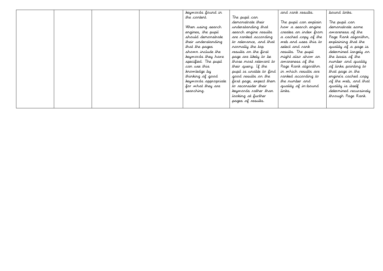|  |  | keywords found in    |                         | and rank results.     | bound links.           |
|--|--|----------------------|-------------------------|-----------------------|------------------------|
|  |  | the content.         | The pupil can           |                       |                        |
|  |  |                      | demonstrate their       | The pupil can explain | The pupil can          |
|  |  | When using search    | understanding that      | how a search engine   | demonstrate some       |
|  |  | engines, the pupil   | search engine results   | creates an index from | awareness of the       |
|  |  | should demonstrate   | are ranked according    | a cached copy of the  | Page Rank algorithm,   |
|  |  | their understanding  | to relevance, and that  | web and uses this to  | explaining that the    |
|  |  | that the pages       | rormally the top        | select and rank       | quality of a page is   |
|  |  | shown include the    | results on the first    | results. The pupil    | determined largely on  |
|  |  | keywords they have   | page are likely to be   | might also show an    | the basis of the       |
|  |  | specified. The pupil | those most relevant to  | awareness of the      | number and quality     |
|  |  | car use this         | their query. If the     | Page Rank algorithm   | of links pointing to   |
|  |  | knowledge by         | pupil is unable to find | in which results are  | that page in the       |
|  |  | thinking of good     | good results on the     | canked according to   | engine's cached copy   |
|  |  | keywords appropriate | first page, expect them | the rumber and        | of the web, and that   |
|  |  | for what they are    | to reconsider their     | quality of in-bound   | quality is itself      |
|  |  | searching.           | keywords rather than    | links.                | determined recursively |
|  |  |                      | looking at further      |                       | through Page Rank.     |
|  |  |                      | pages of results.       |                       |                        |
|  |  |                      |                         |                       |                        |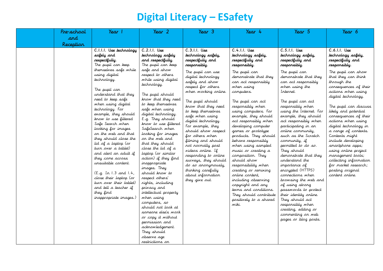## **Digital Literacy – ESafety**

| Pre-school | Year 1                                                                                                                                                                                                                                                                                                                                                                                                                                                                                                   | Year 2                                                                                                                                                                                                                                                                                                                                                                                                                                                                              | $\gamma_{\text{ear}}$ 3                                                                                                                                                                                                                                                                                                                                                                                                                                                        | Year 4                                                                                                                                                                                                                                                                                                                                                                                                                                                              | Year 5                                                                                                                                                                                                                                                                                                                                                                                                                                                            | Year 6                                                                                                                                                                                                                                                                                                                                                                                                                                                                                       |
|------------|----------------------------------------------------------------------------------------------------------------------------------------------------------------------------------------------------------------------------------------------------------------------------------------------------------------------------------------------------------------------------------------------------------------------------------------------------------------------------------------------------------|-------------------------------------------------------------------------------------------------------------------------------------------------------------------------------------------------------------------------------------------------------------------------------------------------------------------------------------------------------------------------------------------------------------------------------------------------------------------------------------|--------------------------------------------------------------------------------------------------------------------------------------------------------------------------------------------------------------------------------------------------------------------------------------------------------------------------------------------------------------------------------------------------------------------------------------------------------------------------------|---------------------------------------------------------------------------------------------------------------------------------------------------------------------------------------------------------------------------------------------------------------------------------------------------------------------------------------------------------------------------------------------------------------------------------------------------------------------|-------------------------------------------------------------------------------------------------------------------------------------------------------------------------------------------------------------------------------------------------------------------------------------------------------------------------------------------------------------------------------------------------------------------------------------------------------------------|----------------------------------------------------------------------------------------------------------------------------------------------------------------------------------------------------------------------------------------------------------------------------------------------------------------------------------------------------------------------------------------------------------------------------------------------------------------------------------------------|
| and        |                                                                                                                                                                                                                                                                                                                                                                                                                                                                                                          |                                                                                                                                                                                                                                                                                                                                                                                                                                                                                     |                                                                                                                                                                                                                                                                                                                                                                                                                                                                                |                                                                                                                                                                                                                                                                                                                                                                                                                                                                     |                                                                                                                                                                                                                                                                                                                                                                                                                                                                   |                                                                                                                                                                                                                                                                                                                                                                                                                                                                                              |
| Reception  |                                                                                                                                                                                                                                                                                                                                                                                                                                                                                                          |                                                                                                                                                                                                                                                                                                                                                                                                                                                                                     |                                                                                                                                                                                                                                                                                                                                                                                                                                                                                |                                                                                                                                                                                                                                                                                                                                                                                                                                                                     |                                                                                                                                                                                                                                                                                                                                                                                                                                                                   |                                                                                                                                                                                                                                                                                                                                                                                                                                                                                              |
|            | C.I.I.I. Use technology<br>safely and<br>respectfully.<br>The pupil can keep<br>themselves safe while<br>using digital<br>technology.<br>The pupil can<br>understand that they<br>need to keep safe<br>when using digital<br>technology. For<br>example, they should<br>know to use filtered<br>Safe Search when<br>looking for images<br>on the web and that<br>they should close the<br>lid of a laptop (or<br>turn over a tablet)<br>and alert an adult if<br>they come across<br>unsuitable content. | C.2.1.1. Use<br>technology safely<br>and respectfully.<br>The pupil can keep<br>safe and show<br>respect to others<br>while using digital<br>technology.<br>The pupil should<br>know that they need<br>to keep themselves<br>safe when using<br>digital technology.<br>E.g. They should<br>know to use filtered<br>SafeSearch when<br>looking for images<br>on the web and<br>that they should<br>close the lid of a<br>laptop (or similar<br>action) if they find<br>inappropriate | $C.3.1.1.$ Use<br>technology safely,<br>respectfully and<br>responsibly.<br>The pupil can use<br>digital technology<br>safely and show<br>respect for others<br>when working online.<br>The pupil should<br>know that they need<br>to keep themselves<br>safe when using<br>digital technology.<br>For example, they<br>should show respect<br>for others when<br>filming and should<br>not normally post<br>videos online. If<br>responding to online<br>surveys, they should | $C.4.1.1.$ Use<br>technology safely,<br>respectfully and<br>responsibly.<br>The pupil can<br>demonstrate that they<br>can act responsibly<br>when using<br>computers.<br>The pupil can act<br>responsibly when<br>using computers. For<br>example, they should<br>act responsibly when<br>developing computer<br>games or prototype<br>products. They should<br>behave responsibly<br>when using sampled<br>music or creating a<br>composition. They<br>should show | $C.5.1.1.$ Use<br>technology safely,<br>respectfully and<br>respansibly.<br>The pupil can<br>demonstrate that they<br>can act responsibly<br>when using the<br>Internet.<br>The pupil can act<br>responsibly when<br>using the Internet. For<br>example, they should<br>act responsibly when<br>participating in an<br>online community,<br>such as the Scratch<br>community, if<br>permitted to do so.<br>They should<br>demonstrate that they<br>understand the | C.6.1.1. Use<br>technology safely,<br>respectfully and<br>responsibly.<br>The pupil can show<br>that they can think<br>through the<br>consequences of their<br>actions when using<br>digital technology.<br>The pupil can discuss<br>likely and potential<br>consequences of their<br>actions when using<br>digital technology in<br>a range of contexts.<br>Contexts might<br>include developing<br>smartphone apps;<br>using online project<br>management tools;<br>collecting information |
|            | (E.g. In 1.3 and 1.4,<br>close their laptop (or<br>turn over their tablet)<br>and tell a teacher if<br>they find<br>inappropriate images.)                                                                                                                                                                                                                                                                                                                                                               | images. They<br>should know to<br>respect others'<br>rights, including<br>privacy and<br>intellectual property<br>when using<br>computers, so<br>should not look at<br>someone else's work<br>or copy it without<br>permission and<br>acknowledgement.<br>They should<br>observe age<br>restrictions on                                                                                                                                                                             | do so anonymously,<br>thinking carefully<br>about information<br>they give out.                                                                                                                                                                                                                                                                                                                                                                                                | responsibility when<br>creating or remixing<br>contine content,<br>including observing<br>copyright and any<br>terms and conditions.<br>They should contribute<br>positively to a shared<br>wiki.                                                                                                                                                                                                                                                                   | importance of<br>encrypted (HTTPS)<br>connections when<br>browsing the web and<br>of using strong<br>passwords to protect<br>their identity online.<br>They should act<br>responsibly when<br>creating, editing or<br>commenting on web<br>pages or blog posts.                                                                                                                                                                                                   | for market research;<br>posting original<br>content online.                                                                                                                                                                                                                                                                                                                                                                                                                                  |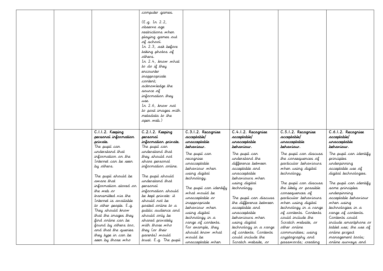|  |                                            | computer games.<br>(E.g. In 2.2,<br>observe age<br>restrictions when<br>playing games out<br>of school.<br>In 2.3, ask before<br>taking photos of<br>others.<br>In 2.4, know what<br>to do if they<br>encounter<br>inappropriate<br>content;<br>acknowledge the<br>source of<br>information they<br>use.<br>In 2.6, know not<br>to post images with<br>metadata to the<br>oper web.) |                                   |                                          |                                          |                                            |
|--|--------------------------------------------|--------------------------------------------------------------------------------------------------------------------------------------------------------------------------------------------------------------------------------------------------------------------------------------------------------------------------------------------------------------------------------------|-----------------------------------|------------------------------------------|------------------------------------------|--------------------------------------------|
|  | C.I.I.2. Keeping<br>personal information   | C.2.1.2. Keeping<br>persanal                                                                                                                                                                                                                                                                                                                                                         | C.3.1.2. Recagnise<br>acceptable/ | C.4.1.2. Recognise<br>acceptable/        | C.5.1.2. Recagnise<br>acceptable/        | C.6.1.2. Recagnise<br>acceptable/          |
|  | private.                                   | information private.                                                                                                                                                                                                                                                                                                                                                                 | unacceptable                      | unacceptable                             | unacceptable                             | unacceptable                               |
|  | The pupil can<br>understand that           | The pupil can<br>understand that                                                                                                                                                                                                                                                                                                                                                     | behaviour.<br>The pupil can       | behaviour.<br>The pupil can              | behaviour.<br>The pupil can discuss      | behaviour.<br>The pupil can identify       |
|  | information on the<br>Internet can be seen | they should not<br>share personal                                                                                                                                                                                                                                                                                                                                                    | recognise                         | understand the                           | the consequences of                      | principles                                 |
|  | by others.                                 | information online.                                                                                                                                                                                                                                                                                                                                                                  | unacceptable                      | difference between                       | particular behaviours                    | underpinning                               |
|  |                                            |                                                                                                                                                                                                                                                                                                                                                                                      | behaviour when<br>using digital   | acceptable and<br>unacceptable           | when using digital<br>technology.        | acceptable use of<br>digital technologies. |
|  | The pupil should be                        | The pupil should                                                                                                                                                                                                                                                                                                                                                                     | technology.                       | behaviours when                          |                                          |                                            |
|  | aware that<br>information stored on        | understand that<br>personal                                                                                                                                                                                                                                                                                                                                                          |                                   | using digital                            | The pupil can discuss                    | The pupil can identify                     |
|  | the web or                                 | information should                                                                                                                                                                                                                                                                                                                                                                   | The pupil can identify            | technology.                              | the likely or possible                   | some principles                            |
|  | transmitted via the                        | be kept private: it                                                                                                                                                                                                                                                                                                                                                                  | what would be<br>unacceptable or  | The pupil can discuss                    | consequences of<br>particular behaviours | underpinning<br>acceptable behaviour       |
|  | Internet is available                      | should rot be                                                                                                                                                                                                                                                                                                                                                                        | inappropriate                     | the difference between                   | when using digital                       | when using                                 |
|  | to other people. E.g.                      | posted orline to a                                                                                                                                                                                                                                                                                                                                                                   | behaviour when                    | acceptable and                           | technology in a range                    | technologies in a                          |
|  | They should know                           | public audience and                                                                                                                                                                                                                                                                                                                                                                  | using digital                     | unacceptable                             | of contexts. Contexts                    | range of contexts.                         |
|  | that the images they                       | should only be                                                                                                                                                                                                                                                                                                                                                                       | technology in a                   | behaviours when                          | could include the                        | Contexts could                             |
|  | find online can be<br>found by others too, | shared privately<br>with those who                                                                                                                                                                                                                                                                                                                                                   | range of contexts.                | using digital                            | Scratch website, or                      | include smartphone or                      |
|  |                                            |                                                                                                                                                                                                                                                                                                                                                                                      | For example, they                 | technology in a range                    | other online                             | tablet use; the use of                     |
|  |                                            |                                                                                                                                                                                                                                                                                                                                                                                      |                                   |                                          |                                          |                                            |
|  | and that the queries                       | they (or their                                                                                                                                                                                                                                                                                                                                                                       | should know what                  | of contexts. Contexts                    | communities; using                       | online project                             |
|  | they type in can be<br>seen by those who   | parents) would<br>trust. E.g. The pupil                                                                                                                                                                                                                                                                                                                                              | would be<br>unacceptable when     | could include the<br>Scratch website, or | cryptography and<br>passwords; creating  | management tools;<br>online surveys and    |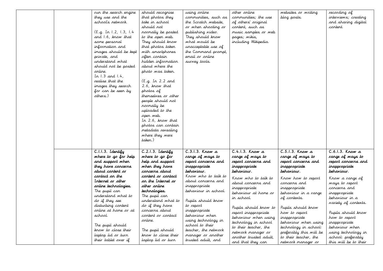| run the search engine<br>they use and the<br>school's retwork.<br>(E.g. In 1.2, 1.3, 1.4<br>and 1.6, know that<br>some personal<br>information and<br>images should be kept<br>private, and<br>understand what<br>should not be posted<br>orline.<br>In $1.3$ and $1.4$ ,<br>realise that the<br>images they search<br>for can be seen by<br>others.) | should recognise<br>that photos they<br>take in school<br>should rot<br>normally be posted<br>to the open web.<br>They should know<br>that photos taken<br>with smartphones<br>often contain<br>hidden information<br>about where the<br>photo was taken.<br>(E.g. In 2.2 and<br>2.6, know that<br>photos of<br>themselves or other<br>people should not<br>rormally be<br>uploaded to the<br>oper web.<br>In 2.6, know that<br>photos can contain<br>metadata revealing | using online<br>communities, such as<br>the Scratch website,<br>or when shooting or<br>publishing video.<br>They should know<br>what would be<br>unacceptable use of<br>the Command prompt,<br>email or online<br>survey tools.                                        | other online<br>communities; the use<br>of others' original<br>content, such as<br>music samples or web<br>pages; wikis,<br>including Wikipedia.                                                                                                                                                | websites or writing<br>blog posts.                                                                                                                                                                                                                                             | recording of<br>interviews; creating<br>and sharing digital<br>content.                                                                                                                                                                                      |
|-------------------------------------------------------------------------------------------------------------------------------------------------------------------------------------------------------------------------------------------------------------------------------------------------------------------------------------------------------|--------------------------------------------------------------------------------------------------------------------------------------------------------------------------------------------------------------------------------------------------------------------------------------------------------------------------------------------------------------------------------------------------------------------------------------------------------------------------|------------------------------------------------------------------------------------------------------------------------------------------------------------------------------------------------------------------------------------------------------------------------|-------------------------------------------------------------------------------------------------------------------------------------------------------------------------------------------------------------------------------------------------------------------------------------------------|--------------------------------------------------------------------------------------------------------------------------------------------------------------------------------------------------------------------------------------------------------------------------------|--------------------------------------------------------------------------------------------------------------------------------------------------------------------------------------------------------------------------------------------------------------|
| C.I.I.3. Identify<br>where to go for help<br>and support when<br>they have concerns<br>about cantent ar                                                                                                                                                                                                                                               | where they were<br>taken.)<br>C.2.1.3. Identify<br>where to go for<br>help and support<br>when they have<br>concerrs about                                                                                                                                                                                                                                                                                                                                               | $C.3.1.3.$ Know a<br>range of ways to<br>report concerns and<br>inappropriate<br>behaviour.                                                                                                                                                                            | $C.4.1.3.$ Know a<br>range of ways to<br>report concerns and<br>inappropriate<br>behaviour.                                                                                                                                                                                                     | $C.5.1.3.$ Know a<br>range of ways to<br>report concerns and<br>inappropriate<br>behaviour.                                                                                                                                                                                    | $C.6.1.3.$ Know a<br>range of ways to<br>report concerns and<br>inappropriate<br>behaviour.                                                                                                                                                                  |
| contact on the<br>Internet or other<br>anline technologies.<br>The pupil can<br>understand what to<br>do if they see<br>disturbing content<br>orline at home or at<br>school.<br>The pupil should<br>know to close their<br>laptop lid <i>or</i> turn<br>their tablet over if                                                                         | content or contact<br>or the Internet or<br>ather anline<br>technologies.<br>The pupil can<br>understand what to<br>do if they have<br>concerrs about<br>content or contact<br>online.<br>The pupil should<br>know to close their<br>laptop lid or turn                                                                                                                                                                                                                  | Know who to talk to<br>about concerns and<br>inappropriate<br>behaviour in school.<br>Pupils should know<br>to report<br>inappropriate<br>behaviour when<br>using technology in<br>school to their<br>teacher, the network<br>manager or another<br>trusted adult, and | Know who to talk to<br>about concerns and<br>inappropriate<br>behaviour at home or<br>ir school.<br>Pupils should know to<br>report inappropriate<br>behaviour when using<br>technology in school<br>to their teacher, the<br>retwork manager or<br>another trusted adult,<br>and that they can | Know how to report<br>concerrs and<br>inappropriate<br>behaviour in a range<br>of contexts.<br>Pupils should know<br>how to report<br>inappropriate<br>behaviour when using<br>technology in school:<br>preferably this will be<br>to their teacher, the<br>network manager or | Know a range of<br>ways to report<br>concerrs and<br>inappropriate<br>behaviour in a<br>variety of contexts.<br>Pupils should know<br>how to report<br>inappropriate<br>behaviour when<br>using technology in<br>school: preferably<br>this will be to their |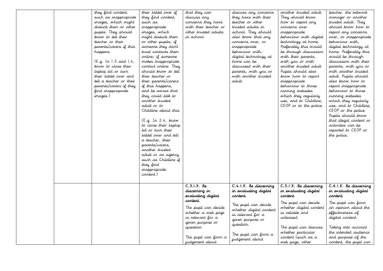| they find content,<br>such as inappropriate<br>images, which might<br>disturb them or other<br>pupils. They should<br>know to tell their<br>teacher or their<br>parents/carers if this<br>happers.<br>(E.g. In 1.3 and 1.4,<br>krow to close their<br>laptop lid or turn<br>their tablet over and<br>tell a teacher or their<br>parents/carers if they<br>find inappropriate<br>images.) | their tablet over if<br>they find content,<br>such as<br>inappropriate<br>images, which<br>might disturb them<br>or other pupils; if<br>someone they don't<br>trust contacts them<br>online; if someone<br>makes inappropriate<br>contact online. They<br>should know to tell<br>their teacher or<br>their parents/carers<br>if this happens,<br>and be aware that<br>they could talk to<br>another trusted<br>adult or to<br>Childline about this.<br>(E.g. In 2.4, known)<br>to close their laptop<br>lid or turn their<br>tablet over and tell<br>a teacher, their<br>parents/carers,<br>another trusted<br>adult or an agency<br>such as Childline if<br>they find<br>inappropriate<br>content.) | that they can<br>discuss any<br>concerns they have<br>with their teacher or<br>other trusted adults<br>ir school. | discuss any concerns<br>they have with their<br>teacher or other<br>trusted adults in<br>school. They should<br>also know that any<br>concerns over, or<br>inappropriate<br>behaviour with,<br>digital technology at<br>home can be<br>discussed with their<br>parents, with you or<br>with another trusted<br>adult. | another trusted adult.<br>They should know<br>how to report any<br>concerns over<br>inappropriate<br>behaviour with digital<br>technology at home.<br>Preferably this would<br>be through discussion<br>with their parents,<br>with you or with<br>another trusted adult.<br>Pupils should also<br>know how to report<br>inappropriate<br>behaviour to those<br>running websites<br>which they regularly<br>use, and to Childline,<br>CEOP or to the police. | teacher, the network<br>manager or another<br>trusted adult. They<br>should know how to<br>report any concerns<br>over, or inappropriate<br>behaviour with,<br>digital technology at<br>home. Preferably this<br>would be through<br>discussion with their<br>parents, with you or<br>with another trusted<br>adult. Pupils should<br>also krow how to<br>report inappropriate<br>behaviour to those<br>running websites<br>which they regularly<br>use, and to Childline,<br>CEOP or the police.<br>Pupils should know<br>that illegal content or<br>activities can be<br>reported to CEOP or<br>the police. |
|------------------------------------------------------------------------------------------------------------------------------------------------------------------------------------------------------------------------------------------------------------------------------------------------------------------------------------------------------------------------------------------|------------------------------------------------------------------------------------------------------------------------------------------------------------------------------------------------------------------------------------------------------------------------------------------------------------------------------------------------------------------------------------------------------------------------------------------------------------------------------------------------------------------------------------------------------------------------------------------------------------------------------------------------------------------------------------------------------|-------------------------------------------------------------------------------------------------------------------|-----------------------------------------------------------------------------------------------------------------------------------------------------------------------------------------------------------------------------------------------------------------------------------------------------------------------|--------------------------------------------------------------------------------------------------------------------------------------------------------------------------------------------------------------------------------------------------------------------------------------------------------------------------------------------------------------------------------------------------------------------------------------------------------------|---------------------------------------------------------------------------------------------------------------------------------------------------------------------------------------------------------------------------------------------------------------------------------------------------------------------------------------------------------------------------------------------------------------------------------------------------------------------------------------------------------------------------------------------------------------------------------------------------------------|
|                                                                                                                                                                                                                                                                                                                                                                                          |                                                                                                                                                                                                                                                                                                                                                                                                                                                                                                                                                                                                                                                                                                      | $C.3.1.X.$ Be<br>discerning in<br>evaluating digital                                                              | C.4.1.X. Be discerning<br>in evaluating digital<br>cartert.                                                                                                                                                                                                                                                           | C.5.I.X. Be discerning<br>in evaluating digital<br>content.                                                                                                                                                                                                                                                                                                                                                                                                  | C.6.1.X. Be discerning<br>in evaluating digital<br>cartert.                                                                                                                                                                                                                                                                                                                                                                                                                                                                                                                                                   |
|                                                                                                                                                                                                                                                                                                                                                                                          |                                                                                                                                                                                                                                                                                                                                                                                                                                                                                                                                                                                                                                                                                                      | cartert.<br>The pupil can decide<br>whether a web page<br>is relevant for a<br>given purpose or<br>question.      | The pupil can decide<br>whether digital content<br>is relevant for a<br>given purpose or<br>question.                                                                                                                                                                                                                 | The pupil can decide<br>whether digital content<br>is reliable and<br>unbiased.<br>The pupil can discuss                                                                                                                                                                                                                                                                                                                                                     | The pupil can form<br>ar opirior about the<br>effectiveness of<br>digital content.<br>Taking into account                                                                                                                                                                                                                                                                                                                                                                                                                                                                                                     |
|                                                                                                                                                                                                                                                                                                                                                                                          |                                                                                                                                                                                                                                                                                                                                                                                                                                                                                                                                                                                                                                                                                                      | The pupil can form a<br>judgement about                                                                           | The pupil can form a<br>judgement about                                                                                                                                                                                                                                                                               | whether particular<br>content (such as a<br>web page, other                                                                                                                                                                                                                                                                                                                                                                                                  | the intended audience<br>and purpose of the<br>content, the pupil can                                                                                                                                                                                                                                                                                                                                                                                                                                                                                                                                         |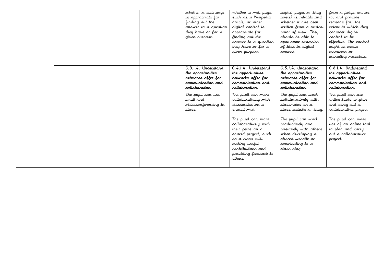|  |  | whether a web page<br>is appropriate for<br>finding out the<br>answer to a question<br>they have or for a<br>given purpose.                                                      | whether a web page,<br>such as a Wikipedia<br>article, or other<br>digital content is<br>appropriate for<br>finding out the<br>answer to a question<br>they have or for a<br>giver purpose.                          | pupils' pages or blog<br>posts) is reliable and<br>whether it has been<br>written from a neutral<br>point of view. They<br>should be able to<br>spot some examples<br>of bias in digital<br>content.                   | form a judgement as<br>to, and provide<br>reasons for, the<br>extent to which they<br>consider digital<br>content to be<br>effective. The content<br>might be media<br>resources or<br>marketing materials.           |
|--|--|----------------------------------------------------------------------------------------------------------------------------------------------------------------------------------|----------------------------------------------------------------------------------------------------------------------------------------------------------------------------------------------------------------------|------------------------------------------------------------------------------------------------------------------------------------------------------------------------------------------------------------------------|-----------------------------------------------------------------------------------------------------------------------------------------------------------------------------------------------------------------------|
|  |  | C.3.1.4. Understand<br>the opportunities<br>retwarks affer for<br>communication and<br>collaboration.<br>The pupil can use<br>email and<br><i>videoconferencing in</i><br>class. | C.4.1.4. Understand<br>the opportunities<br>retwarks affer for<br>cammunication and<br>collaboration.<br>The pupil can work<br>collaboratively with<br>classmates <i>o</i> n a<br>shared wiki.<br>The pupil can work | C.5.1.4. Understand<br>the opportunities<br>retworks offer for<br>cammunication and<br>collaboration.<br>The pupil can work<br>collaboratively with<br>classmates on a<br>class website or blog.<br>The pupil can work | C.6.1.4. Understand<br>the opportunities<br>networks offer for<br>cammunication and<br>collaboration.<br>The pupil can use<br>orline tools to plan<br>and carry out a<br>collaborative project.<br>The pupil can make |
|  |  |                                                                                                                                                                                  | collaboratively with<br>their peers on a<br>shared project, such<br>as a class wiki.<br>making useful<br>contributions and<br>providing feedback to<br>others.                                                       | productively and<br>positively with others<br>when developing a<br>shared website or<br>contributing to a<br>class blog.                                                                                               | use of an online tool<br>to plan and carry<br>out a collaborative<br>project.                                                                                                                                         |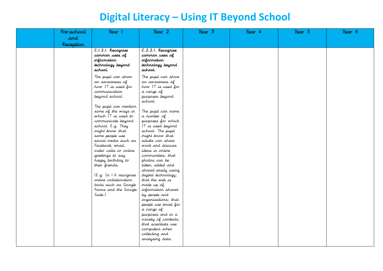### **Digital Literacy – Using IT Beyond School**

| Pre-school | Year                                                                                                                                                                                                               | Year 2                                                                                                                                                                                                                    | Year 3 | Year 4 | Year 5 | Year 6 |
|------------|--------------------------------------------------------------------------------------------------------------------------------------------------------------------------------------------------------------------|---------------------------------------------------------------------------------------------------------------------------------------------------------------------------------------------------------------------------|--------|--------|--------|--------|
| and        |                                                                                                                                                                                                                    |                                                                                                                                                                                                                           |        |        |        |        |
| Reception  |                                                                                                                                                                                                                    |                                                                                                                                                                                                                           |        |        |        |        |
|            | C.I.2.I. Recognise<br>common uses of<br>information<br>technology beyond<br>school.                                                                                                                                | C.2.2.1. Recagnise<br>common uses of<br>information<br>technology beyond<br>school.                                                                                                                                       |        |        |        |        |
|            | The pupil can show<br>an awareness of<br>how IT is used for<br>communication<br>beyond school.<br>The pupil can mention<br>some of the ways in                                                                     | The pupil can show<br>an awareness of<br>how IT is used for<br>a range of<br>purposes beyond<br>school.<br>The pupil can name                                                                                             |        |        |        |        |
|            | which IT is used to<br>communicate beyond<br>school. E.g. They<br>might know that<br>some people use<br>social media such as<br>Facebook, email,<br>video calls or online<br>greetings to say<br>happy birthday to | a rumber of<br>purposes for which<br>IT is used beyord<br>school. The pupil<br>might know that<br>adults can share<br>work and discuss<br>ideas in online<br>communities; that<br>photos can be                           |        |        |        |        |
|            | their friends.<br>(E.g. In 1.6 recognise<br>online collaboration<br>tools such as Google<br>Forms and the Google<br>Suite.)                                                                                        | taken, edited and<br>shared easily using<br>digital technology;<br>that the web is<br>made up of<br>information shared<br>by people and<br>organisations; that<br>people use email for<br>a range of<br>purposes and in a |        |        |        |        |
|            |                                                                                                                                                                                                                    | variety of contexts;<br>that scientists use<br>computers when<br>collecting and<br>analysing data.                                                                                                                        |        |        |        |        |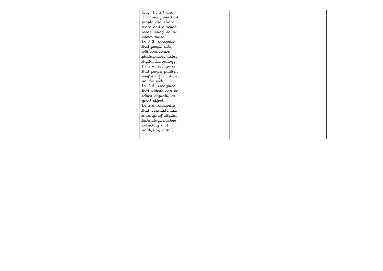|  | (E.g. In 2.1 and<br>2.2, recognise that<br>people can share<br>work and discuss<br>ideas using online<br>communities.<br>In 2.3, recognise<br>that people take,<br>edit and share<br>photographs using<br>digital technology.<br>In 2.4, recognise<br>that people publish<br>useful information<br>or the web.<br>In 2.5, recognise<br>that videos can be<br>edited digitally to<br>great effect.<br>In 2.6, recognise |  |  |
|--|------------------------------------------------------------------------------------------------------------------------------------------------------------------------------------------------------------------------------------------------------------------------------------------------------------------------------------------------------------------------------------------------------------------------|--|--|
|  | that scientists use<br>a range of digital<br>technologies when<br>collecting and<br>analysing data.)                                                                                                                                                                                                                                                                                                                   |  |  |